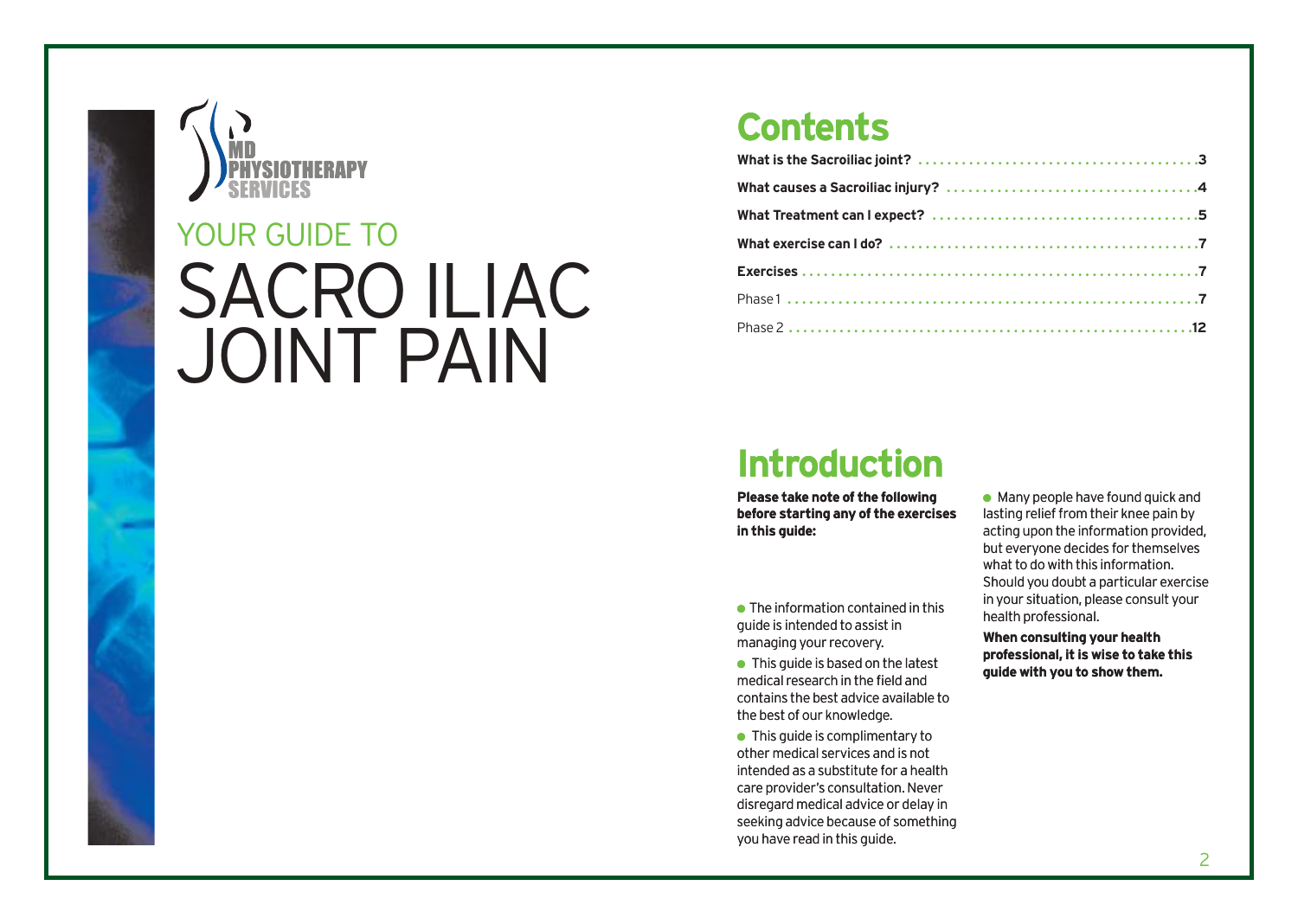

# SACRO ILIAC JOINT PAIN YOUR GUIDE TO

# **Contents**

# **Introduction**

**Please take note of the following before starting any of the exercises in this guide:**

 $\bullet$  The information contained in this guide is intended to assist in managing your recovery.

 $\bullet$  This guide is based on the latest medical research in the field and contains the best advice available to the best of our knowledge.

● This guide is complimentary to other medical services and is not intended as a substitute for a health care provider's consultation. Never disregard medical advice or delay in seeking advice because of something you have read in this guide.

 $\bullet$  Many people have found quick and lasting relief from their knee pain by acting upon the information provided, but everyone decides for themselves what to do with this information. Should you doubt a particular exercise in your situation, please consult your health professional.

**When consulting your health professional, it is wise to take this guide with you to show them.**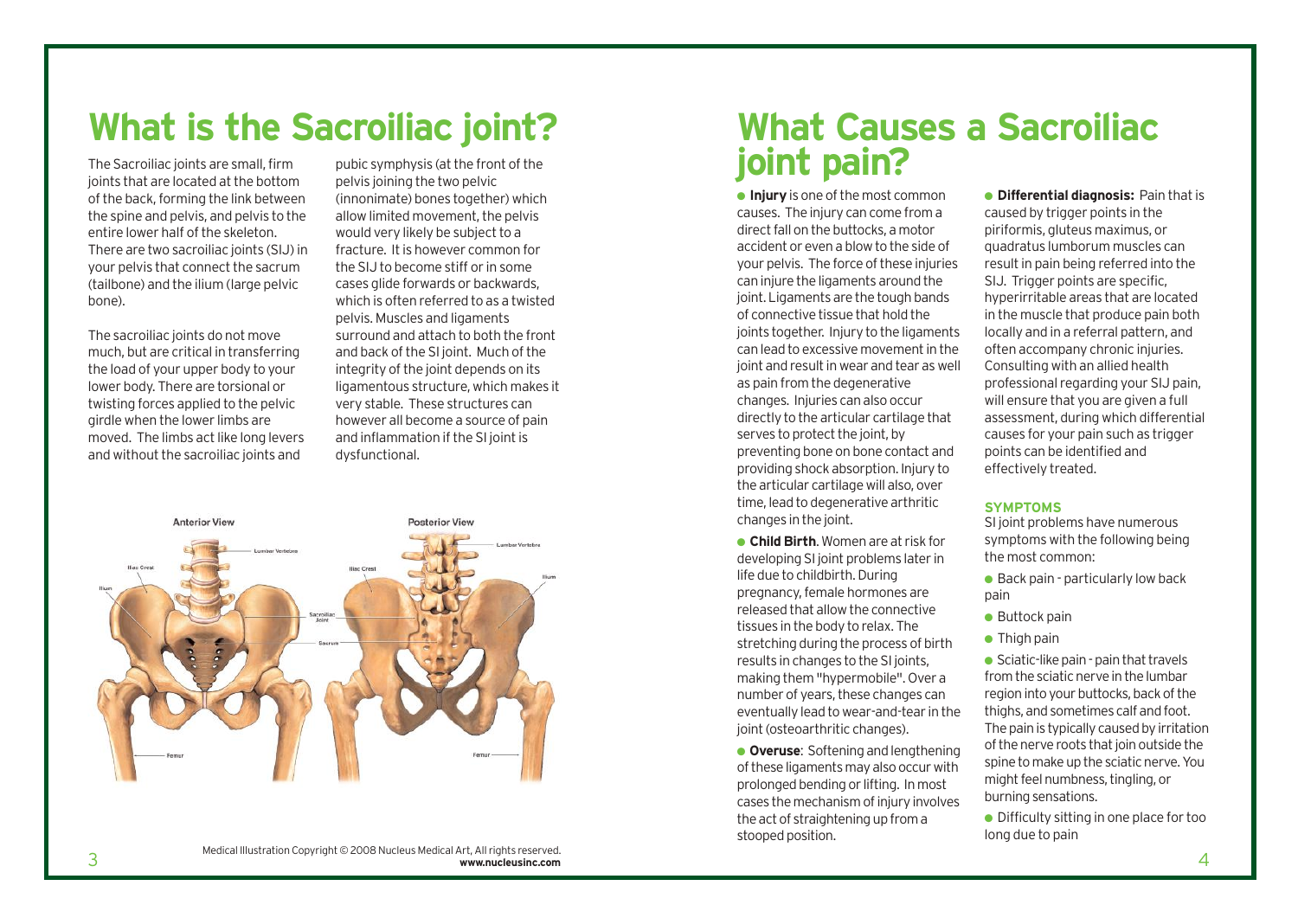# **What is the Sacroiliac joint?**

The Sacroiliac joints are small, firm joints that are located at the bottom of the back, forming the link between the spine and pelvis, and pelvis to the entire lower half of the skeleton. There are two sacroiliac joints (SIJ) in your pelvis that connect the sacrum (tailbone) and the ilium (large pelvic bone).

The sacroiliac joints do not move much, but are critical in transferring the load of your upper body to your lower body. There are torsional or twisting forces applied to the pelvic girdle when the lower limbs are moved. The limbs act like long levers and without the sacroiliac joints and

pubic symphysis (at the front of the pelvis joining the two pelvic (innonimate) bones together) which allow limited movement, the pelvis would very likely be subject to a fracture. It is however common for the SIJ to become stiff or in some cases glide forwards or backwards, which is often referred to as a twisted pelvis. Muscles and ligaments surround and attach to both the front and back of the SI joint. Much of the integrity of the joint depends on its ligamentous structure, which makes it very stable. These structures can however all become a source of pain and inflammation if the SI joint is dysfunctional.



# **What Causes a Sacroiliac joint pain?**

● **Injury**is one of the most common causes. The injury can come from a direct fall on the buttocks, a motor accident or even a blow to the side of your pelvis. The force of these injuries can injure the ligaments around the joint. Ligaments are the tough bands of connective tissue that hold the joints together. Injury to the ligaments can lead to excessive movement in the joint and result in wear and tear as well as pain from the degenerative changes. Injuries can also occur directly to the articular cartilage that serves to protect the joint, by preventing bone on bone contact and providing shock absorption. Injury to the articular cartilage will also, over time, lead to degenerative arthritic changes in the joint.

● **Child Birth**. Women are at risk for developing SI joint problems later in life due to childbirth. During pregnancy, female hormones are released that allow the connective tissues in the body to relax. The stretching during the process of birth results in changes to the SI joints, making them "hypermobile". Over a number of years, these changes can eventually lead to wear-and-tear in the joint (osteoarthritic changes).

● **Overuse**: Softening and lengthening of these ligaments may also occur with prolonged bending or lifting. In most cases the mechanism of injury involves the act of straightening up from a stooped position.

● **Differential diagnosis:** Pain that is caused by trigger points in the piriformis, gluteus maximus, or quadratus lumborum muscles can result in pain being referred into the SIJ. Trigger points are specific. hyperirritable areas that are located in the muscle that produce pain both locally and in a referral pattern, and often accompany chronic injuries. Consulting with an allied health professional regarding your SIJ pain, will ensure that you are given a full assessment, during which differential causes for your pain such as trigger points can be identified and effectively treated.

#### **SYMPTOMS**

SI joint problems have numerous symptoms with the following being the most common:

 $\bullet$  Back pain - particularly low back pain

- $\bullet$  Buttock pain
- Thigh pain

● Sciatic-like pain - pain that travels from the sciatic nerve in the lumbar region into your buttocks, back of the thighs, and sometimes calf and foot. The pain is typically caused by irritation of the nerve roots that join outside the spine to make up the sciatic nerve. You might feel numbness, tingling, or burning sensations.

● Difficulty sitting in one place for too long due to pain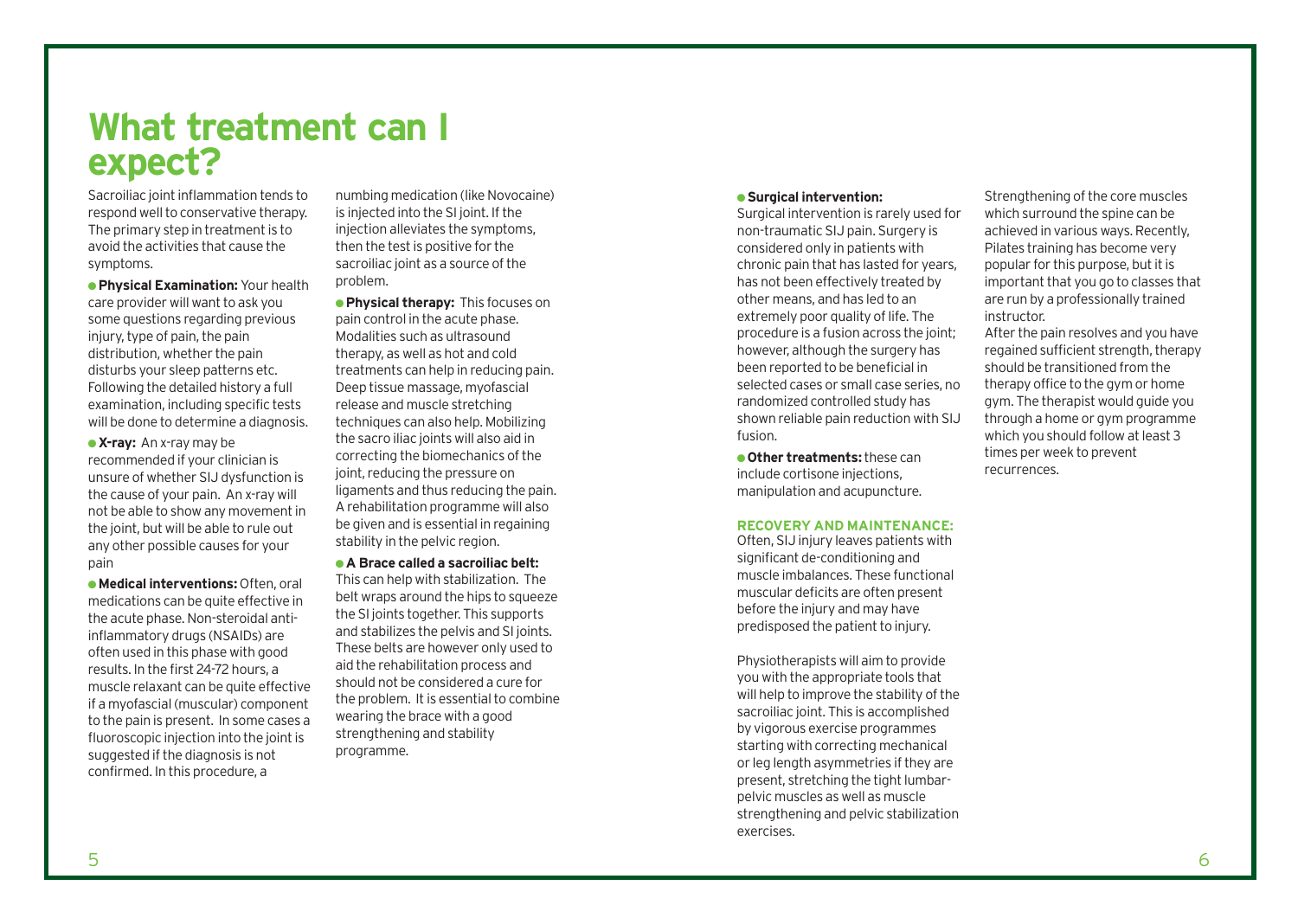# **What treatment can I expect?**

Sacroiliac joint inflammation tends to respond well to conservative therapy. The primary step in treatment is to avoid the activities that cause the symptoms.

● **Physical Examination:** Your health care provider will want to ask you some questions regarding previous injury, type of pain, the pain distribution, whether the pain disturbs your sleep patterns etc. Following the detailed history a full examination, including specific tests will be done to determine a diagnosis.

● **X-ray:** An x-ray may be recommended if your clinician is unsure of whether SIJ dysfunction is the cause of your pain. An x-ray will not be able to show any movement in the joint, but will be able to rule out any other possible causes for your pain

● **Medical interventions:** Often, oral medications can be quite effective in the acute phase. Non-steroidal antiinflammatory drugs (NSAIDs) are often used in this phase with good results. In the first 24-72 hours, a muscle relaxant can be quite effective if a myofascial (muscular) component to the pain is present. In some cases a fluoroscopic injection into the joint is suggested if the diagnosis is not confirmed. In this procedure, a

numbing medication (like Novocaine) is injected into the SI joint. If the injection alleviates the symptoms, then the test is positive for the sacroiliac joint as a source of the problem.

● **Physical therapy:** This focuses on pain control in the acute phase. Modalities such as ultrasound therapy, as well as hot and cold treatments can help in reducing pain. Deep tissue massage, myofascial release and muscle stretching techniques can also help. Mobilizing the sacro iliac joints will also aid in correcting the biomechanics of the joint, reducing the pressure on ligaments and thus reducing the pain. A rehabilitation programme will also be given and is essential in regaining stability in the pelvic region.

● **A Brace called a sacroiliac belt:**  This can help with stabilization. The belt wraps around the hips to squeeze the SI joints together. This supports and stabilizes the pelvis and SI joints. These belts are however only used to aid the rehabilitation process and should not be considered a cure for the problem. It is essential to combine wearing the brace with a good strengthening and stability programme.

#### ● **Surgical intervention:**

Surgical intervention is rarely used for non-traumatic SIJ pain. Surgery is considered only in patients with chronic pain that has lasted for years, has not been effectively treated by other means, and has led to an extremely poor quality of life. The procedure is a fusion across the joint; however, although the surgery has been reported to be beneficial in selected cases or small case series, no randomized controlled study has shown reliable pain reduction with SIJ fusion.

● **Other treatments:**these can include cortisone injections, manipulation and acupuncture.

#### **RECOVERY AND MAINTENANCE:**

Often, SIJ injury leaves patients with significant de-conditioning and muscle imbalances. These functional muscular deficits are often present before the injury and may have predisposed the patient to injury.

Physiotherapists will aim to provide you with the appropriate tools that will help to improve the stability of the sacroiliac joint. This is accomplished by vigorous exercise programmes starting with correcting mechanical or leg length asymmetries if they are present, stretching the tight lumbarpelvic muscles as well as muscle strengthening and pelvic stabilization exercises.

Strengthening of the core muscles which surround the spine can be achieved in various ways. Recently, Pilates training has become very popular for this purpose, but it is important that you go to classes that are run by a professionally trained instructor.

After the pain resolves and you have regained sufficient strength, therapy should be transitioned from the therapy office to the gym or home gym. The therapist would guide you through a home or gym programme which you should follow at least 3 times per week to prevent recurrences.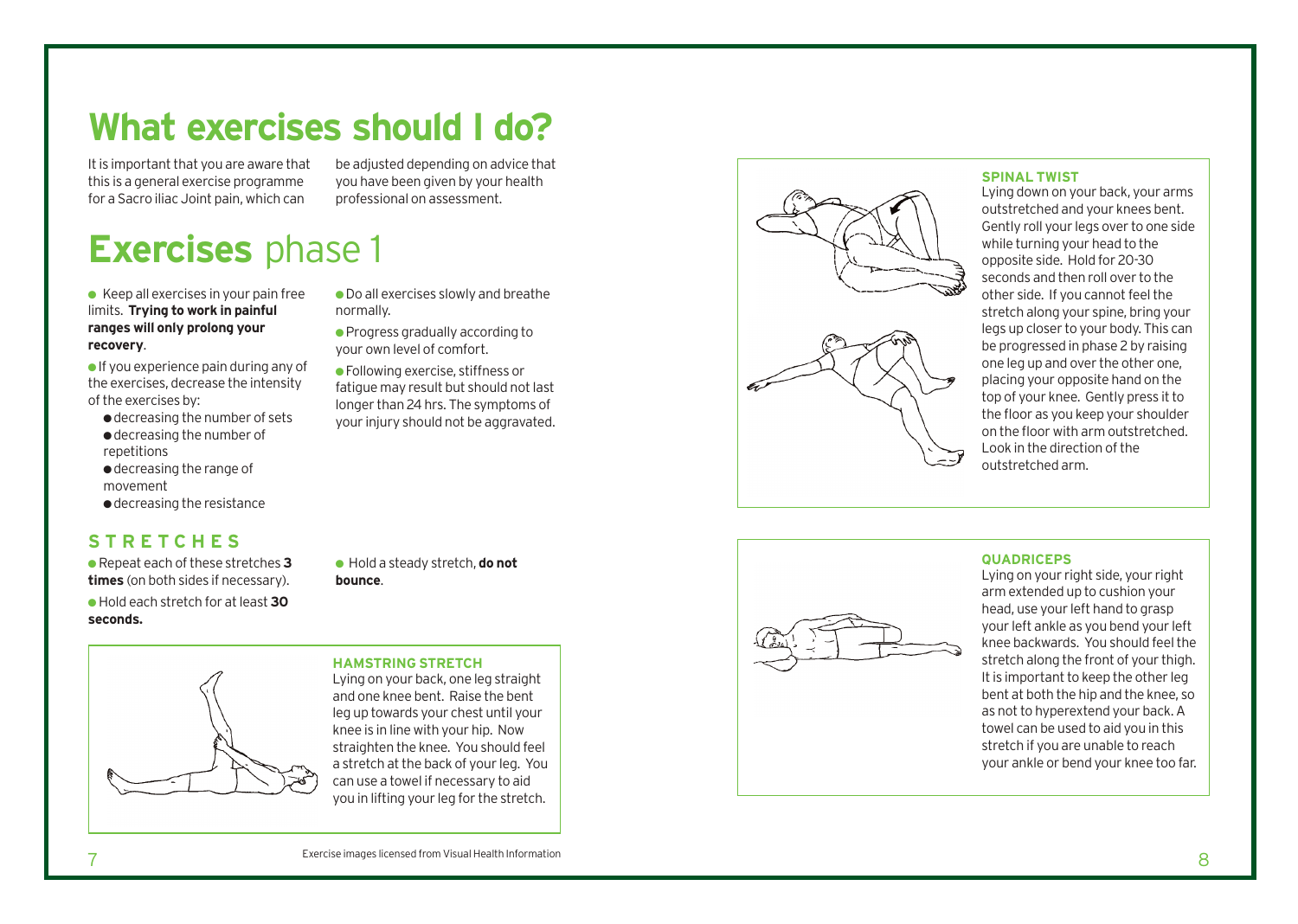# **What exercises should I do?**

normally.

It is important that you are aware that this is a general exercise programme for a Sacro iliac Joint pain, which can

be adjusted depending on advice that you have been given by your health professional on assessment.

● Do all exercises slowly and breathe

● Progress gradually according to your own level of comfort. ● Following exercise, stiffness or fatigue may result but should not last longer than 24 hrs. The symptoms of your injury should not be aggravated.

# **Exercises** phase 1

 $\bullet$  Keep all exercises in your pain free limits. **Trying to work in painful ranges will only prolong your recovery** .

 $\bullet$  If you experience pain during any of the exercises, decrease the intensity of the exercises by:

- decreasing the number of sets ● decreasing the number of repetitions
- decreasing the range of movement
- decreasing the resistance

## **S TRET CHE S**

● Repeat each of these stretches **3 times** (on both sides if necessary). **e** Hold each stretch for at least 30 **seconds.**

● Hold a steady stretch, **do not** bounce.

#### **HAMSTRING STRETCH**

Lying on your back, one leg straight and one knee ben t. Raise the ben t leg up towards your chest until your knee is in line with your hip. Now



#### **SPINAL TWIST**

**QUADRICEPS**

Lying down on your back, your arms outstretched and your knees bent. Gently roll your legs over to one side while turning your head to the opposite side. Hold for 20-30 seconds and then roll over to the other side. If you cannot feel the stretch along your spine, bring your legs up closer to your body. This can be progressed in phase 2 by raising one leg up and over the other one, placing your opposite hand on the top of your knee. Gently press it to the floor as you keep your shoulder on the floor with arm outstretched. Look in the direction of the out str e tched arm.



Lying on your right side, your right arm extended up to cushion your head, use your left hand to grasp your left ankle as you bend your left knee backwards. You should feel the stretch along the front of your thigh. It is important to keep the other leg bent at both the hip and the knee, so as not to hyper extend your back. A towel can be used to aid you in this stretch if you are unable to reach your ankle or bend your knee too far.



straighten the knee. You should feel a stretch at the back of your leg. You can use a towel if necessary to aid you in lifting your leg for the stretch.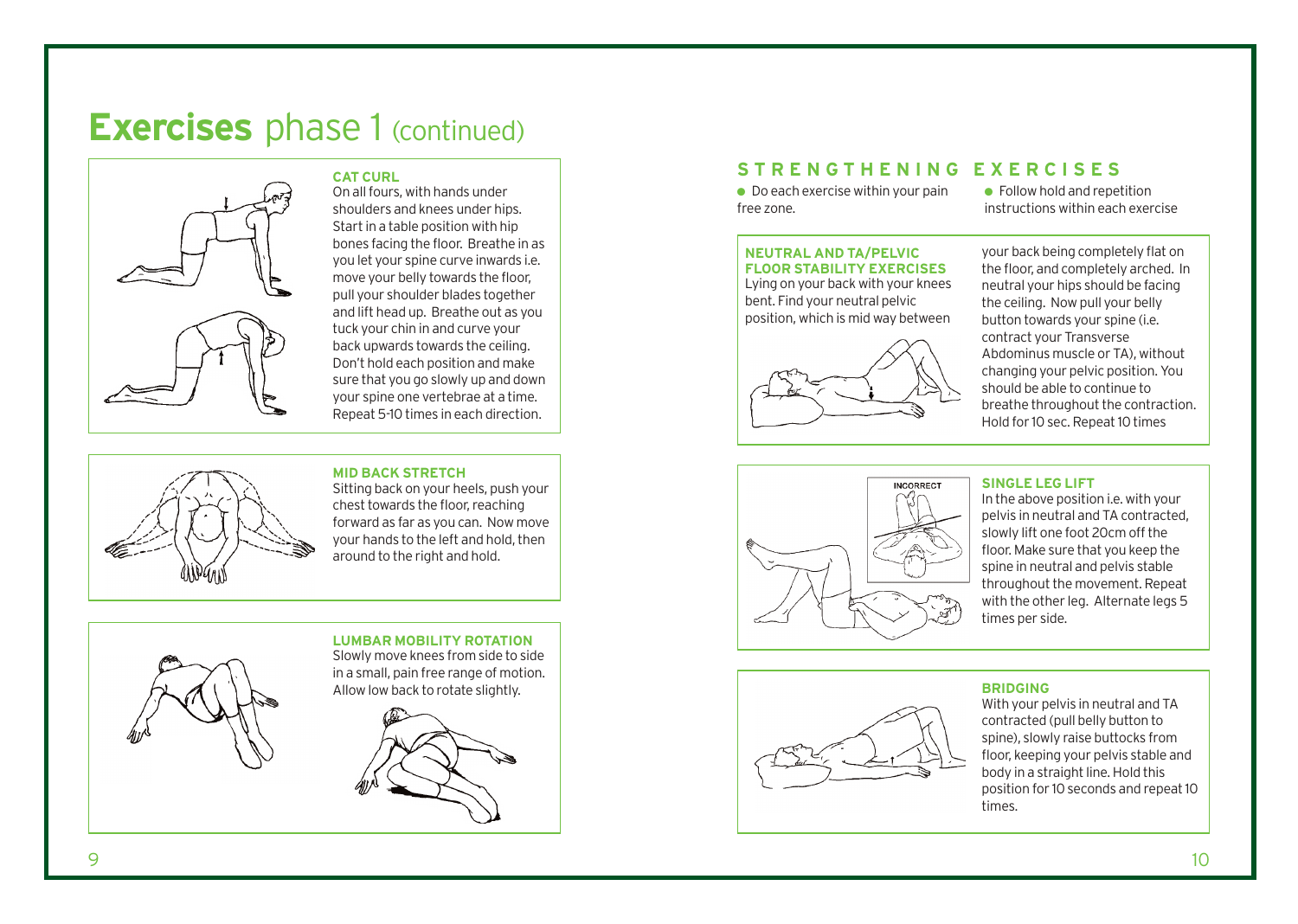# **Exercises** phase 1 (continued)



**CAT CURL**  On all fours, with hands under shoulders and knees under hips. Start in a table position with hip bones facing the floor. Breathe in as you let your spine curve inwards i.e. move your belly towards the floor, pull your shoulder blades together and lift head up. Breathe out as you tuck your chin in and curve your back upwards towards the ceiling. Don't hold each position and make sure that you go slowly up and down your spine one vertebrae at a time. Repeat 5-10 times in each direction.

#### **MID BACK STRETCH**

Sitting back on your heels, push your chest towards the floor, reaching forward as far as you can. Now move your hands to the left and hold, then around to the right and hold.



#### **LUMBAR MOBILITY ROTATION**

Slowly move knees from side to side in a small, pain free range of motion. Allow low back to rotate slightly.

### **STRENGTHENING EXERCISES**

 $\bullet$  Do each exercise within your pain free zone.

● Follow hold and repetition instructions within each exercise

#### **NEUTRAL AND TA/PELVIC FLOOR STABILITY EXERCISES**

Lying on your back with your knees bent. Find your neutral pelvic position, which is mid way between



your back being completely flat on the floor, and completely arched. In neutral your hips should be facing the ceiling. Now pull your belly button towards your spine (i.e. contract your Transverse Abdominus muscle or TA), without changing your pelvic position. You should be able to continue to breathe throughout the contraction. Hold for 10 sec. Repeat 10 times



#### **SINGLE LEG LIFT**

In the above position i.e. with your pelvis in neutral and TA contracted, slowly lift one foot 20cm off the floor. Make sure that you keep the spine in neutral and pelvis stable throughout the movement. Repeat with the other leg. Alternate legs 5 times per side.



#### **BRIDGING**

With your pelvis in neutral and TA contracted (pull belly button to spine), slowly raise buttocks from floor, keeping your pelvis stable and body in a straight line. Hold this position for 10 seconds and repeat 10 times.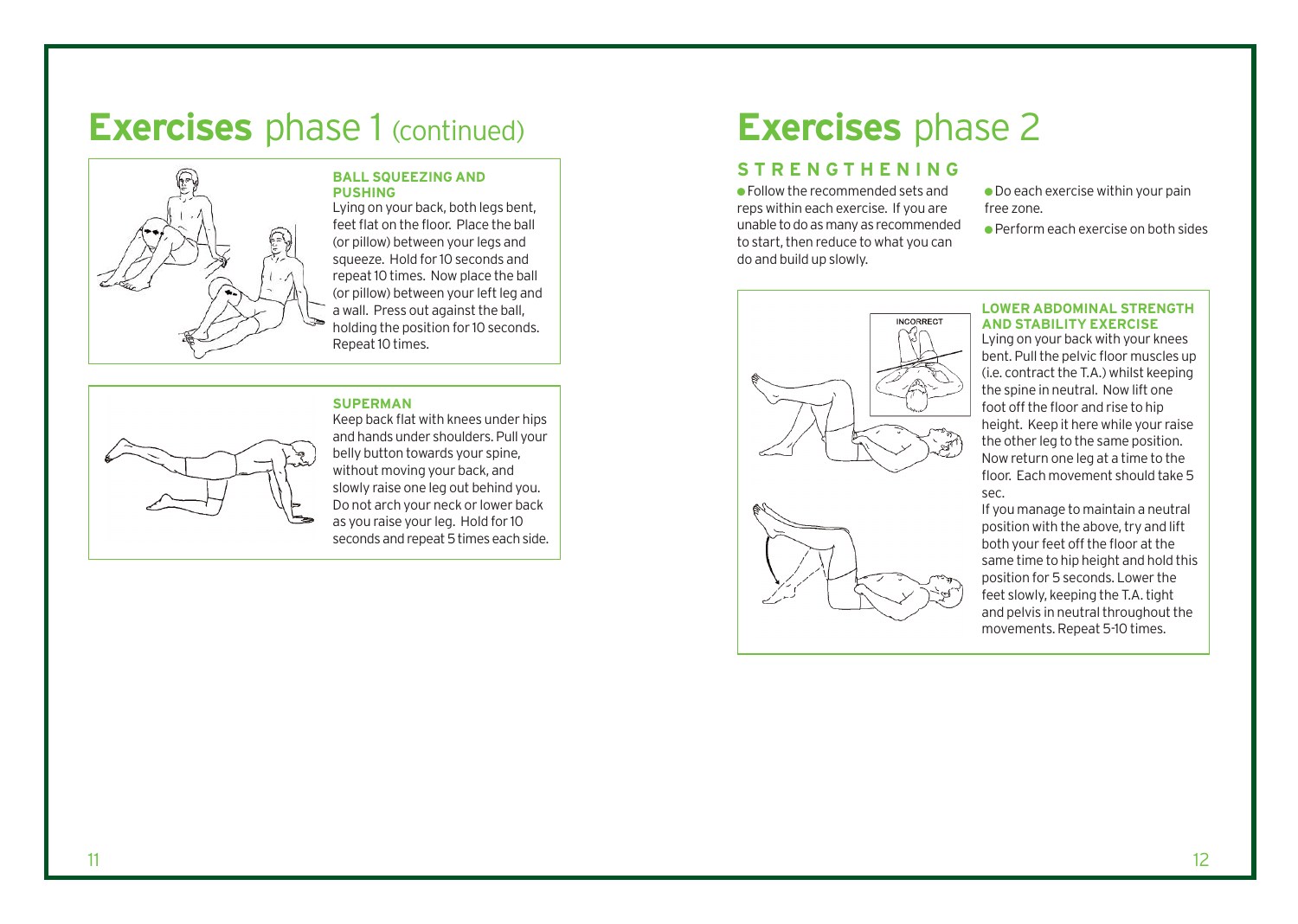# **Exercises** phase 1 (continued) **Exercises** phase 2



#### **BALL SQUEEZING AND PUSHING**

Lying on your back, both legs bent, feet flat on the floor. Place the ball (or pillow) between your legs and squeeze. Hold for 10 seconds and repeat 10 times. Now place the ball (or pillow) between your left leg and a wall. Press out against the ball, holding the position for 10 seconds. Repeat 10 times.

#### **SUPERMAN**



Keep back flat with knees under hips and hands under shoulders. Pull your belly button towards your spine, without moving your back, and slowly raise one leg out behind you. Do not arch your neck or lower back as you raise your leg. Hold for 10 seconds and repeat 5 times each side.

## **STRENGTHENING**

● Follow the recommended sets and reps within each exercise. If you are unable to do as many as recommended to start, then reduce to what you can do and build up slowly.

 $\bullet$  Do each exercise within your pain free zone.

● Perform each exercise on both sides



#### **LOWER ABDOMINAL STRENGTH AND STABILITY EXERCISE**

Lying on your back with your knees bent. Pull the pelvic floor muscles up (i.e. contract the T.A.) whilst keeping the spine in neutral. Now lift one foot off the floor and rise to hip height. Keep it here while your raise the other leg to the same position. Now return one leg at a time to the floor. Each movement should take 5 sec.

If you manage to maintain a neutral position with the above, try and lift both your feet off the floor at the same time to hip height and hold this position for 5 seconds. Lower the feet slowly, keeping the T.A. tight and pelvis in neutral throughout the movements. Repeat 5-10 times.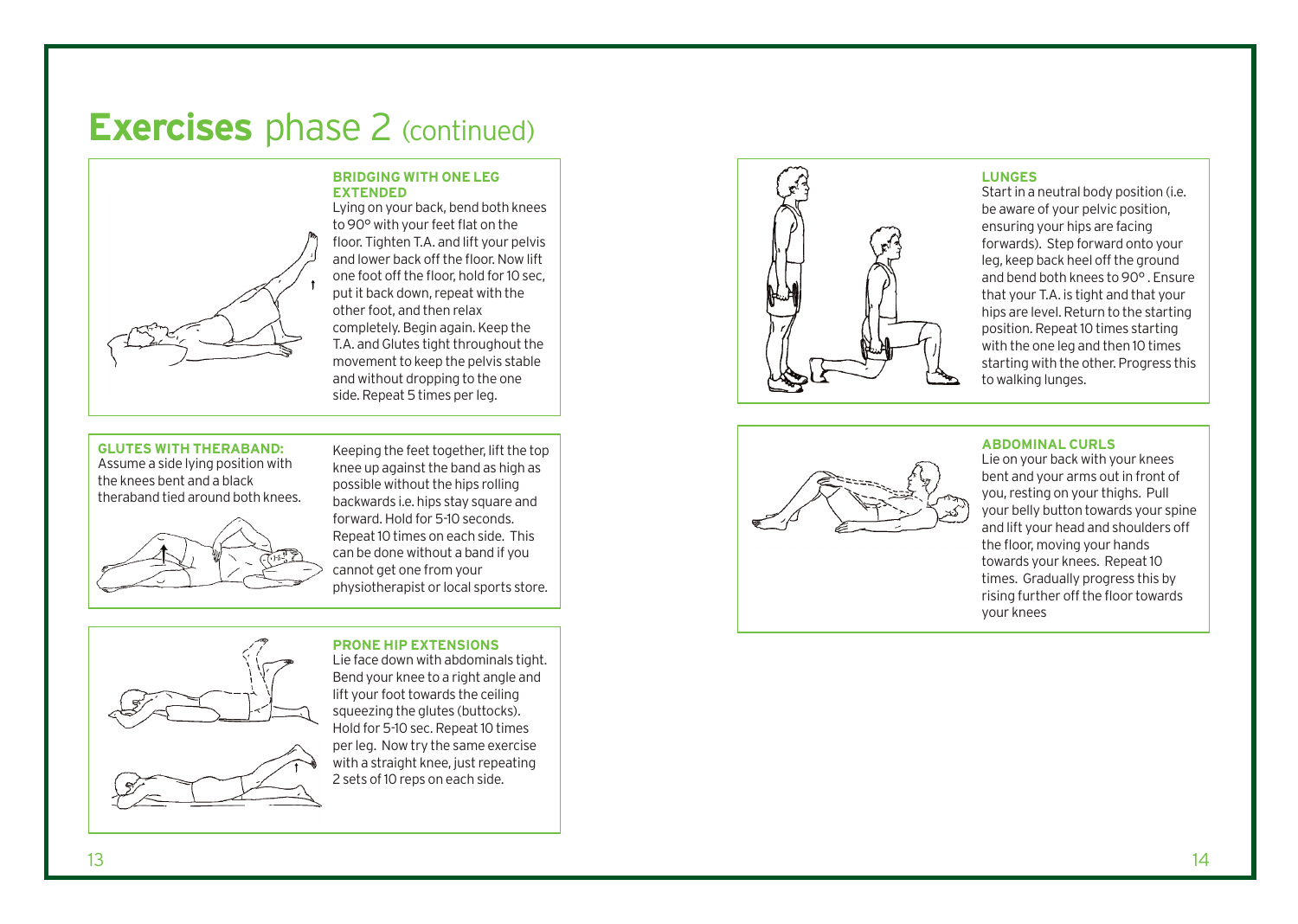# **Exercises** phase 2 (continued)

#### **BRIDGING WITH ONE LEG EXTENDED**



Lying on your back, bend both knees to 90° with your feet flat on the floor. Tighten T.A. and lift your pelvis and lower back off the floor. Now lift one foot off the floor, hold for 10 sec, put it back down, repeat with the other foot, and then relax completely. Begin again. Keep the T.A. and Glutes tight throughout the movement to keep the pelvis stable and without dropping to the one side. Repeat 5 times per leg. Keeping the feet together, lift the top

#### **GLUTES WITH THERABAND:**

Assume a side lying position with the knees bent and a black theraband tied around both knees.



knee up against the band as high as possible without the hips rolling backwards i.e. hips stay square and forward. Hold for 5-10 seconds. Repeat 10 times on each side. This can be done without a band if you cannot get one from your physiotherapist or local sports store.

#### **PRONE HIP EXTENSIONS**



Lie face down with abdominals tight. Bend your knee to a right angle and lift your foot towards the ceiling squeezing the glutes (buttocks). Hold for 5-10 sec. Repeat 10 times per leg. Now try the same exercise with a straight knee, just repeating 2 sets of 10 reps on each side.



#### **LUNGES**

Start in a neutral body position (i.e. be aware of your pelvic position, ensuring your hips are facing forwards). Step forward onto your leg, keep back heel off the ground and bend both knees to 90° . Ensure that your T.A. is tight and that your hips are level. Return to the starting position. Repeat 10 times starting with the one leg and then 10 times starting with the other. Progress this to walking lunges.



#### **ABDOMINAL CURLS**

Lie on your back with your knees bent and your arms out in front of you, resting on your thighs. Pull your belly button towards your spine and lift your head and shoulders off the floor, moving your hands towards your knees. Repeat 10 times. Gradually progress this by rising further o ff the floor towards your knees